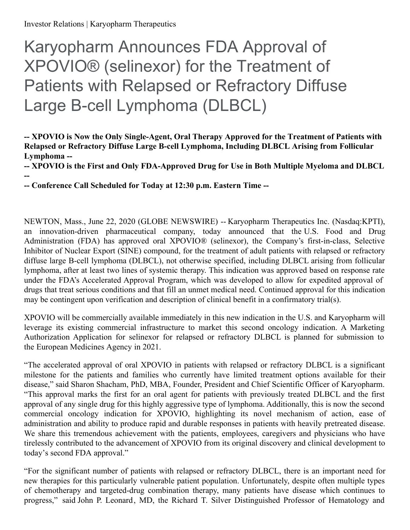**--**

# Karyopharm Announces FDA Approval of XPOVIO® (selinexor) for the Treatment of Patients with Relapsed or Refractory Diffuse Large B-cell Lymphoma (DLBCL)

**-- XPOVIO is Now the Only Single-Agent, Oral Therapy Approved for the Treatment of Patients with Relapsed or Refractory Diffuse Large B-cell Lymphoma, Including DLBCL Arising from Follicular Lymphoma --**

**-- XPOVIO is the First and Only FDA-Approved Drug for Use in Both Multiple Myeloma and DLBCL**

**-- Conference Call Scheduled for Today at 12:30 p.m. Eastern Time --**

NEWTON, Mass., June 22, 2020 (GLOBE NEWSWIRE) -- Karyopharm Therapeutics Inc. (Nasdaq:KPTI), an innovation-driven pharmaceutical company, today announced that the U.S. Food and Drug Administration (FDA) has approved oral XPOVIO® (selinexor), the Company's first-in-class, Selective Inhibitor of Nuclear Export (SINE) compound, for the treatment of adult patients with relapsed or refractory diffuse large B-cell lymphoma (DLBCL), not otherwise specified, including DLBCL arising from follicular lymphoma, after at least two lines of systemic therapy. This indication was approved based on response rate under the FDA's Accelerated Approval Program, which was developed to allow for expedited approval of drugs that treat serious conditions and that fill an unmet medical need. Continued approval for this indication may be contingent upon verification and description of clinical benefit in a confirmatory trial(s).

XPOVIO will be commercially available immediately in this new indication in the U.S. and Karyopharm will leverage its existing commercial infrastructure to market this second oncology indication. A Marketing Authorization Application for selinexor for relapsed or refractory DLBCL is planned for submission to the European Medicines Agency in 2021.

"The accelerated approval of oral XPOVIO in patients with relapsed or refractory DLBCL is a significant milestone for the patients and families who currently have limited treatment options available for their disease," said Sharon Shacham, PhD, MBA, Founder, President and Chief Scientific Officer of Karyopharm. "This approval marks the first for an oral agent for patients with previously treated DLBCL and the first approval of any single drug for this highly aggressive type of lymphoma. Additionally, this is now the second commercial oncology indication for XPOVIO, highlighting its novel mechanism of action, ease of administration and ability to produce rapid and durable responses in patients with heavily pretreated disease. We share this tremendous achievement with the patients, employees, caregivers and physicians who have tirelessly contributed to the advancement of XPOVIO from its original discovery and clinical development to today's second FDA approval."

"For the significant number of patients with relapsed or refractory DLBCL, there is an important need for new therapies for this particularly vulnerable patient population. Unfortunately, despite often multiple types of chemotherapy and targeted-drug combination therapy, many patients have disease which continues to progress," said John P. Leonard, MD, the Richard T. Silver Distinguished Professor of Hematology and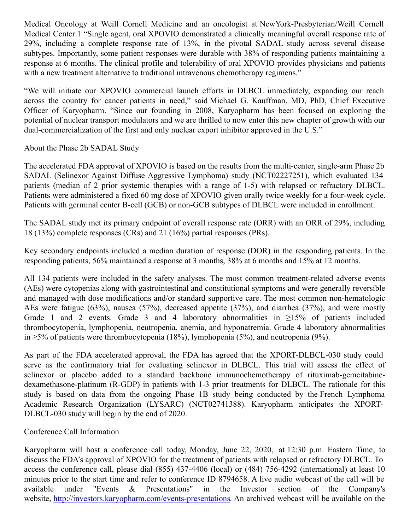Medical Oncology at Weill Cornell Medicine and an oncologist at NewYork-Presbyterian/Weill Cornell Medical Center.1 "Single agent, oral XPOVIO demonstrated a clinically meaningful overall response rate of 29%, including a complete response rate of 13%, in the pivotal SADAL study across several disease subtypes. Importantly, some patient responses were durable with 38% of responding patients maintaining a response at 6 months. The clinical profile and tolerability of oral XPOVIO provides physicians and patients with a new treatment alternative to traditional intravenous chemotherapy regimens."

"We will initiate our XPOVIO commercial launch efforts in DLBCL immediately, expanding our reach across the country for cancer patients in need," said Michael G. Kauffman, MD, PhD, Chief Executive Officer of Karyopharm. "Since our founding in 2008, Karyopharm has been focused on exploring the potential of nuclear transport modulators and we are thrilled to now enter this new chapter of growth with our dual-commercialization of the first and only nuclear export inhibitor approved in the U.S."

About the Phase 2b SADAL Study

The accelerated FDA approval of XPOVIO is based on the results from the multi-center, single-arm Phase 2b SADAL (Selinexor Against Diffuse Aggressive Lymphoma) study (NCT02227251), which evaluated 134 patients (median of 2 prior systemic therapies with a range of 1-5) with relapsed or refractory DLBCL. Patients were administered a fixed 60 mg dose of XPOVIO given orally twice weekly for a four-week cycle. Patients with germinal center B-cell (GCB) or non-GCB subtypes of DLBCL were included in enrollment.

The SADAL study met its primary endpoint of overall response rate (ORR) with an ORR of 29%, including 18 (13%) complete responses (CRs) and 21 (16%) partial responses (PRs).

Key secondary endpoints included a median duration of response (DOR) in the responding patients. In the responding patients, 56% maintained a response at 3 months, 38% at 6 months and 15% at 12 months.

All 134 patients were included in the safety analyses. The most common treatment-related adverse events (AEs) were cytopenias along with gastrointestinal and constitutional symptoms and were generally reversible and managed with dose modifications and/or standard supportive care. The most common non-hematologic AEs were fatigue (63%), nausea (57%), decreased appetite (37%), and diarrhea (37%), and were mostly Grade 1 and 2 events. Grade 3 and 4 laboratory abnormalities in  $\geq 15\%$  of patients included thrombocytopenia, lymphopenia, neutropenia, anemia, and hyponatremia. Grade 4 laboratory abnormalities in ≥5% of patients were thrombocytopenia (18%), lymphopenia (5%), and neutropenia (9%).

As part of the FDA accelerated approval, the FDA has agreed that the XPORT-DLBCL-030 study could serve as the confirmatory trial for evaluating selinexor in DLBCL. This trial will assess the effect of selinexor or placebo added to a standard backbone immunochemotherapy of rituximab-gemcitabinedexamethasone-platinum (R-GDP) in patients with 1-3 prior treatments for DLBCL. The rationale for this study is based on data from the ongoing Phase 1B study being conducted by the French Lymphoma Academic Research Organization (LYSARC) (NCT02741388). Karyopharm anticipates the XPORT-DLBCL-030 study will begin by the end of 2020.

Conference Call Information

Karyopharm will host a conference call today, Monday, June 22, 2020, at 12:30 p.m. Eastern Time, to discuss the FDA's approval of XPOVIO for the treatment of patients with relapsed or refractory DLBCL. To access the conference call, please dial (855) 437-4406 (local) or (484) 756-4292 (international) at least 10 minutes prior to the start time and refer to conference ID 8794658. A live audio webcast of the call will be available under "Events & Presentations" in the Investor section of the Company's website, [http://investors.karyopharm.com/events-presentations](https://www.globenewswire.com/Tracker?data=AWhLX48B8UT5g9RDj8YtOTrvn78rTa8IMcfse8qQhlQC5Hqk4rO4ukgYpIu96WgL47ym_2ZAxhXOvIOAKnP-APDAKNVkcvOYXRLg8QDKbYYvTVYZoHhT1SRuwrjbLcHRg2X1o4wXNBwDR0rrsOkBT_hx9A-3Ozv06hCG5854e2Y=). An archived webcast will be available on the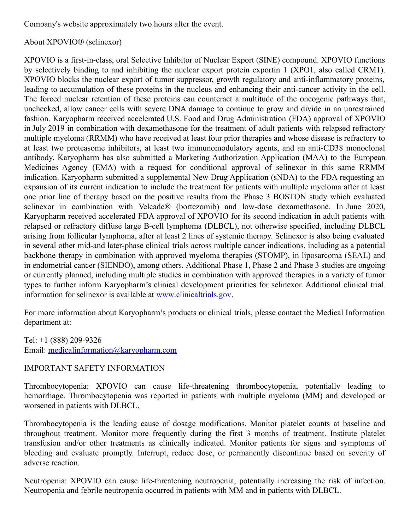Company's website approximately two hours after the event.

About XPOVIO® (selinexor)

XPOVIO is a first-in-class, oral Selective Inhibitor of Nuclear Export (SINE) compound. XPOVIO functions by selectively binding to and inhibiting the nuclear export protein exportin 1 (XPO1, also called CRM1). XPOVIO blocks the nuclear export of tumor suppressor, growth regulatory and anti-inflammatory proteins, leading to accumulation of these proteins in the nucleus and enhancing their anti-cancer activity in the cell. The forced nuclear retention of these proteins can counteract a multitude of the oncogenic pathways that, unchecked, allow cancer cells with severe DNA damage to continue to grow and divide in an unrestrained fashion. Karyopharm received accelerated U.S. Food and Drug Administration (FDA) approval of XPOVIO in July 2019 in combination with dexamethasone for the treatment of adult patients with relapsed refractory multiple myeloma (RRMM) who have received at least four prior therapies and whose disease is refractory to at least two proteasome inhibitors, at least two immunomodulatory agents, and an anti-CD38 monoclonal antibody. Karyopharm has also submitted a Marketing Authorization Application (MAA) to the European Medicines Agency (EMA) with a request for conditional approval of selinexor in this same RRMM indication. Karyopharm submitted a supplemental New Drug Application (sNDA) to the FDA requesting an expansion of its current indication to include the treatment for patients with multiple myeloma after at least one prior line of therapy based on the positive results from the Phase 3 BOSTON study which evaluated selinexor in combination with Velcade® (bortezomib) and low-dose dexamethasone. In June 2020, Karyopharm received accelerated FDA approval of XPOVIO for its second indication in adult patients with relapsed or refractory diffuse large B-cell lymphoma (DLBCL), not otherwise specified, including DLBCL arising from follicular lymphoma, after at least 2 lines of systemic therapy. Selinexor is also being evaluated in several other mid-and later-phase clinical trials across multiple cancer indications, including as a potential backbone therapy in combination with approved myeloma therapies (STOMP), in liposarcoma (SEAL) and in endometrial cancer (SIENDO), among others. Additional Phase 1, Phase 2 and Phase 3 studies are ongoing or currently planned, including multiple studies in combination with approved therapies in a variety of tumor types to further inform Karyopharm's clinical development priorities for selinexor. Additional clinical trial information for selinexor is available at [www.clinicaltrials.gov](http://www.clinicaltrials.gov/).

For more information about Karyopharm's products or clinical trials, please contact the Medical Information department at:

Tel: +1 (888) 209-9326 Email: [medicalinformation@karyopharm.com](https://www.globenewswire.com/Tracker?data=2i_YA70N1lQ7P0geijmqYzbyM3vrasxUJsGCl2VLtzSTu3bCBkUiHCU2VHaVAGH8I40NxR_HLYHC-UqH0bTh7B2zaCDx-lfraxsbYNzCjBSdqPxgHcZPsDPZoMIMMg-3)

# IMPORTANT SAFETY INFORMATION

Thrombocytopenia: XPOVIO can cause life-threatening thrombocytopenia, potentially leading to hemorrhage. Thrombocytopenia was reported in patients with multiple myeloma (MM) and developed or worsened in patients with DLBCL.

Thrombocytopenia is the leading cause of dosage modifications. Monitor platelet counts at baseline and throughout treatment. Monitor more frequently during the first 3 months of treatment. Institute platelet transfusion and/or other treatments as clinically indicated. Monitor patients for signs and symptoms of bleeding and evaluate promptly. Interrupt, reduce dose, or permanently discontinue based on severity of adverse reaction.

Neutropenia: XPOVIO can cause life-threatening neutropenia, potentially increasing the risk of infection. Neutropenia and febrile neutropenia occurred in patients with MM and in patients with DLBCL.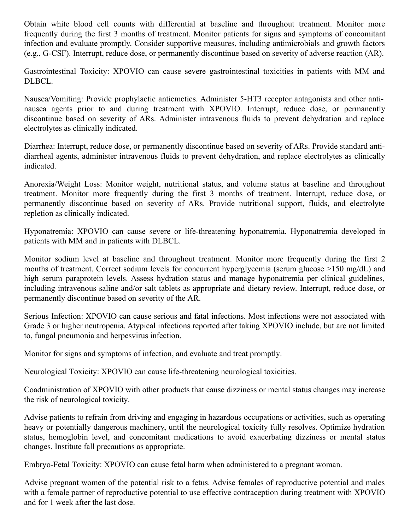Obtain white blood cell counts with differential at baseline and throughout treatment. Monitor more frequently during the first 3 months of treatment. Monitor patients for signs and symptoms of concomitant infection and evaluate promptly. Consider supportive measures, including antimicrobials and growth factors (e.g., G-CSF). Interrupt, reduce dose, or permanently discontinue based on severity of adverse reaction (AR).

Gastrointestinal Toxicity: XPOVIO can cause severe gastrointestinal toxicities in patients with MM and DLBCL.

Nausea/Vomiting: Provide prophylactic antiemetics. Administer 5-HT3 receptor antagonists and other antinausea agents prior to and during treatment with XPOVIO. Interrupt, reduce dose, or permanently discontinue based on severity of ARs. Administer intravenous fluids to prevent dehydration and replace electrolytes as clinically indicated.

Diarrhea: Interrupt, reduce dose, or permanently discontinue based on severity of ARs. Provide standard antidiarrheal agents, administer intravenous fluids to prevent dehydration, and replace electrolytes as clinically indicated.

Anorexia/Weight Loss: Monitor weight, nutritional status, and volume status at baseline and throughout treatment. Monitor more frequently during the first 3 months of treatment. Interrupt, reduce dose, or permanently discontinue based on severity of ARs. Provide nutritional support, fluids, and electrolyte repletion as clinically indicated.

Hyponatremia: XPOVIO can cause severe or life-threatening hyponatremia. Hyponatremia developed in patients with MM and in patients with DLBCL.

Monitor sodium level at baseline and throughout treatment. Monitor more frequently during the first 2 months of treatment. Correct sodium levels for concurrent hyperglycemia (serum glucose >150 mg/dL) and high serum paraprotein levels. Assess hydration status and manage hyponatremia per clinical guidelines, including intravenous saline and/or salt tablets as appropriate and dietary review. Interrupt, reduce dose, or permanently discontinue based on severity of the AR.

Serious Infection: XPOVIO can cause serious and fatal infections. Most infections were not associated with Grade 3 or higher neutropenia. Atypical infections reported after taking XPOVIO include, but are not limited to, fungal pneumonia and herpesvirus infection.

Monitor for signs and symptoms of infection, and evaluate and treat promptly.

Neurological Toxicity: XPOVIO can cause life-threatening neurological toxicities.

Coadministration of XPOVIO with other products that cause dizziness or mental status changes may increase the risk of neurological toxicity.

Advise patients to refrain from driving and engaging in hazardous occupations or activities, such as operating heavy or potentially dangerous machinery, until the neurological toxicity fully resolves. Optimize hydration status, hemoglobin level, and concomitant medications to avoid exacerbating dizziness or mental status changes. Institute fall precautions as appropriate.

Embryo-Fetal Toxicity: XPOVIO can cause fetal harm when administered to a pregnant woman.

Advise pregnant women of the potential risk to a fetus. Advise females of reproductive potential and males with a female partner of reproductive potential to use effective contraception during treatment with XPOVIO and for 1 week after the last dose.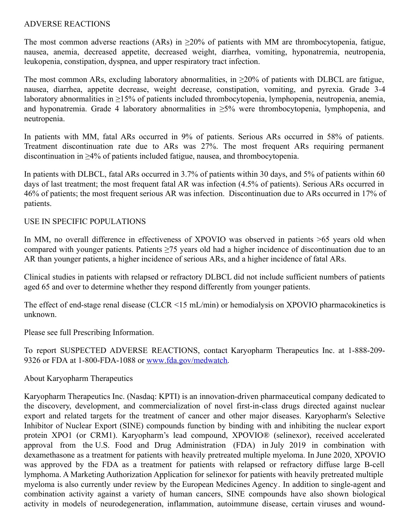#### ADVERSE REACTIONS

The most common adverse reactions (ARs) in  $\geq$ 20% of patients with MM are thrombocytopenia, fatigue, nausea, anemia, decreased appetite, decreased weight, diarrhea, vomiting, hyponatremia, neutropenia, leukopenia, constipation, dyspnea, and upper respiratory tract infection.

The most common ARs, excluding laboratory abnormalities, in  $\geq$ 20% of patients with DLBCL are fatigue, nausea, diarrhea, appetite decrease, weight decrease, constipation, vomiting, and pyrexia. Grade 3-4 laboratory abnormalities in ≥15% of patients included thrombocytopenia, lymphopenia, neutropenia, anemia, and hyponatremia. Grade 4 laboratory abnormalities in  $\geq$ 5% were thrombocytopenia, lymphopenia, and neutropenia.

In patients with MM, fatal ARs occurred in 9% of patients. Serious ARs occurred in 58% of patients. Treatment discontinuation rate due to ARs was 27%. The most frequent ARs requiring permanent discontinuation in ≥4% of patients included fatigue, nausea, and thrombocytopenia.

In patients with DLBCL, fatal ARs occurred in 3.7% of patients within 30 days, and 5% of patients within 60 days of last treatment; the most frequent fatal AR was infection (4.5% of patients). Serious ARs occurred in 46% of patients; the most frequent serious AR was infection. Discontinuation due to ARs occurred in 17% of patients.

## USE IN SPECIFIC POPULATIONS

In MM, no overall difference in effectiveness of XPOVIO was observed in patients  $>65$  years old when compared with younger patients. Patients ≥75 years old had a higher incidence of discontinuation due to an AR than younger patients, a higher incidence of serious ARs, and a higher incidence of fatal ARs.

Clinical studies in patients with relapsed or refractory DLBCL did not include sufficient numbers of patients aged 65 and over to determine whether they respond differently from younger patients.

The effect of end-stage renal disease (CLCR <15 mL/min) or hemodialysis on XPOVIO pharmacokinetics is unknown.

Please see full Prescribing Information.

To report SUSPECTED ADVERSE REACTIONS, contact Karyopharm Therapeutics Inc. at 1-888-209- 9326 or FDA at 1-800-FDA-1088 or [www.fda.gov/medwatch](https://www.globenewswire.com/Tracker?data=L-0AkAdkKR8GVmBIVdGBQ5KQe6VgszO-wdf_rBcYXrJWyK7AA1TQq_zHPu9YJmXZ4WHAvtAmVRN8lDwldYs_owrocsdIGP9CL2LYw6zxhFQ=).

## About Karyopharm Therapeutics

Karyopharm Therapeutics Inc. (Nasdaq: KPTI) is an innovation-driven pharmaceutical company dedicated to the discovery, development, and commercialization of novel first-in-class drugs directed against nuclear export and related targets for the treatment of cancer and other major diseases. Karyopharm's Selective Inhibitor of Nuclear Export (SINE) compounds function by binding with and inhibiting the nuclear export protein XPO1 (or CRM1). Karyopharm's lead compound, XPOVIO® (selinexor), received accelerated approval from the U.S. Food and Drug Administration (FDA) in July 2019 in combination with dexamethasone as a treatment for patients with heavily pretreated multiple myeloma. In June 2020, XPOVIO was approved by the FDA as a treatment for patients with relapsed or refractory diffuse large B-cell lymphoma. A Marketing Authorization Application for selinexor for patients with heavily pretreated multiple myeloma is also currently under review by the European Medicines Agency. In addition to single-agent and combination activity against a variety of human cancers, SINE compounds have also shown biological activity in models of neurodegeneration, inflammation, autoimmune disease, certain viruses and wound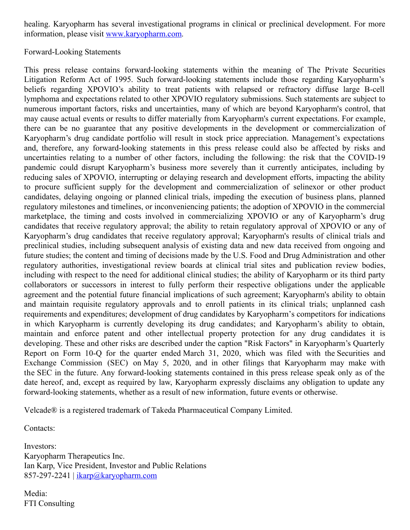healing. Karyopharm has several investigational programs in clinical or preclinical development. For more information, please visit [www.karyopharm.com](https://www.globenewswire.com/Tracker?data=4r8kYspKVdclWCcBSsb8lO-VKi2uwszw9_b1R1j_1YWDD1lYkNEWHql01pPlTAFU4V8P6SiXKnPaYRIiFJ2cZZo9-rr1qDTr6H2gK3TI35Y=).

## Forward-Looking Statements

This press release contains forward-looking statements within the meaning of The Private Securities Litigation Reform Act of 1995. Such forward-looking statements include those regarding Karyopharm's beliefs regarding XPOVIO's ability to treat patients with relapsed or refractory diffuse large B-cell lymphoma and expectations related to other XPOVIO regulatory submissions. Such statements are subject to numerous important factors, risks and uncertainties, many of which are beyond Karyopharm's control, that may cause actual events or results to differ materially from Karyopharm's current expectations. For example, there can be no guarantee that any positive developments in the development or commercialization of Karyopharm's drug candidate portfolio will result in stock price appreciation. Management's expectations and, therefore, any forward-looking statements in this press release could also be affected by risks and uncertainties relating to a number of other factors, including the following: the risk that the COVID-19 pandemic could disrupt Karyopharm's business more severely than it currently anticipates, including by reducing sales of XPOVIO, interrupting or delaying research and development efforts, impacting the ability to procure sufficient supply for the development and commercialization of selinexor or other product candidates, delaying ongoing or planned clinical trials, impeding the execution of business plans, planned regulatory milestones and timelines, or inconveniencing patients; the adoption of XPOVIO in the commercial marketplace, the timing and costs involved in commercializing XPOVIO or any of Karyopharm's drug candidates that receive regulatory approval; the ability to retain regulatory approval of XPOVIO or any of Karyopharm's drug candidates that receive regulatory approval; Karyopharm's results of clinical trials and preclinical studies, including subsequent analysis of existing data and new data received from ongoing and future studies; the content and timing of decisions made by the U.S. Food and Drug Administration and other regulatory authorities, investigational review boards at clinical trial sites and publication review bodies, including with respect to the need for additional clinical studies; the ability of Karyopharm or its third party collaborators or successors in interest to fully perform their respective obligations under the applicable agreement and the potential future financial implications of such agreement; Karyopharm's ability to obtain and maintain requisite regulatory approvals and to enroll patients in its clinical trials; unplanned cash requirements and expenditures; development of drug candidates by Karyopharm's competitors for indications in which Karyopharm is currently developing its drug candidates; and Karyopharm's ability to obtain, maintain and enforce patent and other intellectual property protection for any drug candidates it is developing. These and other risks are described under the caption "Risk Factors" in Karyopharm's Quarterly Report on Form 10-Q for the quarter ended March 31, 2020, which was filed with the Securities and Exchange Commission (SEC) on May 5, 2020, and in other filings that Karyopharm may make with the SEC in the future. Any forward-looking statements contained in this press release speak only as of the date hereof, and, except as required by law, Karyopharm expressly disclaims any obligation to update any forward-looking statements, whether as a result of new information, future events or otherwise.

Velcade® is a registered trademark of Takeda Pharmaceutical Company Limited.

Contacts:

Investors: Karyopharm Therapeutics Inc. Ian Karp, Vice President, Investor and Public Relations 857-297-2241 |  $ikarp@karyopharm.com$ 

Media: FTI Consulting